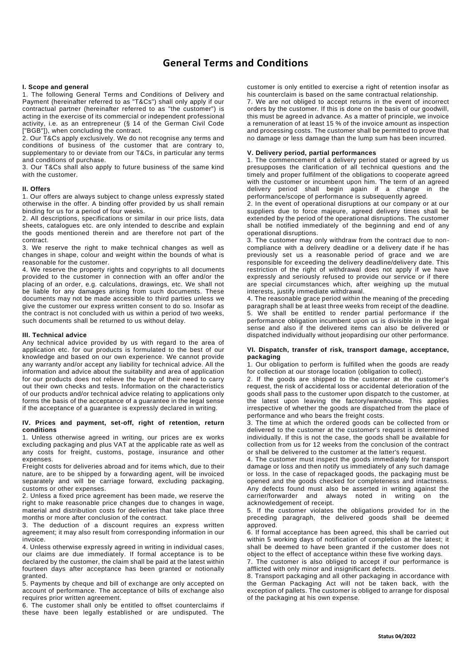# **General Terms and Conditions**

# **I. Scope and general**

1. The following General Terms and Conditions of Delivery and Payment (hereinafter referred to as "T&Cs") shall only apply if our contractual partner (hereinafter referred to as "the customer") is acting in the exercise of its commercial or independent professional activity, i.e. as an entrepreneur (§ 14 of the German Civil Code ["BGB"]), when concluding the contract.

2. Our T&Cs apply exclusively. We do not recognise any terms and conditions of business of the customer that are contrary to, supplementary to or deviate from our T&Cs, in particular any terms and conditions of purchase.

3. Our T&Cs shall also apply to future business of the same kind with the customer.

# **II. Offers**

1. Our offers are always subject to change unless expressly stated otherwise in the offer. A binding offer provided by us shall remain binding for us for a period of four weeks.

2. All descriptions, specifications or similar in our price lists, data sheets, catalogues etc. are only intended to describe and explain the goods mentioned therein and are therefore not part of the contract.

3. We reserve the right to make technical changes as well as changes in shape, colour and weight within the bounds of what is reasonable for the customer.

4. We reserve the property rights and copyrights to all documents provided to the customer in connection with an offer and/or the placing of an order, e.g. calculations, drawings, etc. We shall not be liable for any damages arising from such documents. These documents may not be made accessible to third parties unless we give the customer our express written consent to do so. Insofar as the contract is not concluded with us within a period of two weeks, such documents shall be returned to us without delay.

#### **III. Technical advice**

Any technical advice provided by us with regard to the area of application etc. for our products is formulated to the best of our knowledge and based on our own experience. We cannot provide any warranty and/or accept any liability for technical advice. All the information and advice about the suitability and area of application for our products does not relieve the buyer of their need to carry out their own checks and tests. Information on the characteristics of our products and/or technical advice relating to applications only forms the basis of the acceptance of a guarantee in the legal sense if the acceptance of a guarantee is expressly declared in writing.

#### **IV. Prices and payment, set-off, right of retention, return conditions**

1. Unless otherwise agreed in writing, our prices are ex works excluding packaging and plus VAT at the applicable rate as well as any costs for freight, customs, postage, insurance and other expenses.

Freight costs for deliveries abroad and for items which, due to their nature, are to be shipped by a forwarding agent, will be invoiced separately and will be carriage forward, excluding packaging, customs or other expenses.

2. Unless a fixed price agreement has been made, we reserve the right to make reasonable price changes due to changes in wage, material and distribution costs for deliveries that take place three months or more after conclusion of the contract.

3. The deduction of a discount requires an express written agreement; it may also result from corresponding information in our invoice.

4. Unless otherwise expressly agreed in writing in individual cases, our claims are due immediately. If formal acceptance is to be declared by the customer, the claim shall be paid at the latest within fourteen days after acceptance has been granted or notionally granted.

5. Payments by cheque and bill of exchange are only accepted on account of performance. The acceptance of bills of exchange also requires prior written agreement.

6. The customer shall only be entitled to offset counterclaims if these have been legally established or are undisputed. The

customer is only entitled to exercise a right of retention insofar as his counterclaim is based on the same contractual relationship. 7. We are not obliged to accept returns in the event of incorrect orders by the customer. If this is done on the basis of our goodwill, this must be agreed in advance. As a matter of principle, we invoice a remuneration of at least 15 % of the invoice amount as inspection and processing costs. The customer shall be permitted to prove that no damage or less damage than the lump sum has been incurred.

## **V. Delivery period, partial performances**

1. The commencement of a delivery period stated or agreed by us presupposes the clarification of all technical questions and the timely and proper fulfilment of the obligations to cooperate agreed with the customer or incumbent upon him. The term of an agreed delivery period shall begin again if a change in the performance/scope of performance is subsequently agreed.

2. In the event of operational disruptions at our company or at our suppliers due to force majeure, agreed delivery times shall be extended by the period of the operational disruptions. The customer shall be notified immediately of the beginning and end of any operational disruptions.

3. The customer may only withdraw from the contract due to noncompliance with a delivery deadline or a delivery date if he has previously set us a reasonable period of grace and we are responsible for exceeding the delivery deadline/delivery date. This restriction of the right of withdrawal does not apply if we have expressly and seriously refused to provide our service or if there are special circumstances which, after weighing up the mutual interests, justify immediate withdrawal.

4. The reasonable grace period within the meaning of the preceding paragraph shall be at least three weeks from receipt of the deadline. 5. We shall be entitled to render partial performance if the performance obligation incumbent upon us is divisible in the legal sense and also if the delivered items can also be delivered or dispatched individually without jeopardising our other performance.

#### **VI. Dispatch, transfer of risk, transport damage, acceptance, packaging**

1. Our obligation to perform is fulfilled when the goods are ready for collection at our storage location (obligation to collect).

2. If the goods are shipped to the customer at the customer's request, the risk of accidental loss or accidental deterioration of the goods shall pass to the customer upon dispatch to the customer, at the latest upon leaving the factory/warehouse. This applies irrespective of whether the goods are dispatched from the place of performance and who bears the freight costs.

3. The time at which the ordered goods can be collected from or delivered to the customer at the customer's request is determined individually. If this is not the case, the goods shall be available for collection from us for 12 weeks from the conclusion of the contract or shall be delivered to the customer at the latter's request.

4. The customer must inspect the goods immediately for transport damage or loss and then notify us immediately of any such damage or loss. In the case of repackaged goods, the packaging must be opened and the goods checked for completeness and intactness. Any defects found must also be asserted in writing against the carrier/forwarder and always noted in writing on the acknowledgement of receipt.

5. If the customer violates the obligations provided for in the preceding paragraph, the delivered goods shall be deemed approved.

6. If formal acceptance has been agreed, this shall be carried out within 5 working days of notification of completion at the latest; it shall be deemed to have been granted if the customer does not object to the effect of acceptance within these five working days.

7. The customer is also obliged to accept if our performance is afflicted with only minor and insignificant defects.

8. Transport packaging and all other packaging in accordance with the German Packaging Act will not be taken back, with the exception of pallets. The customer is obliged to arrange for disposal of the packaging at his own expense.